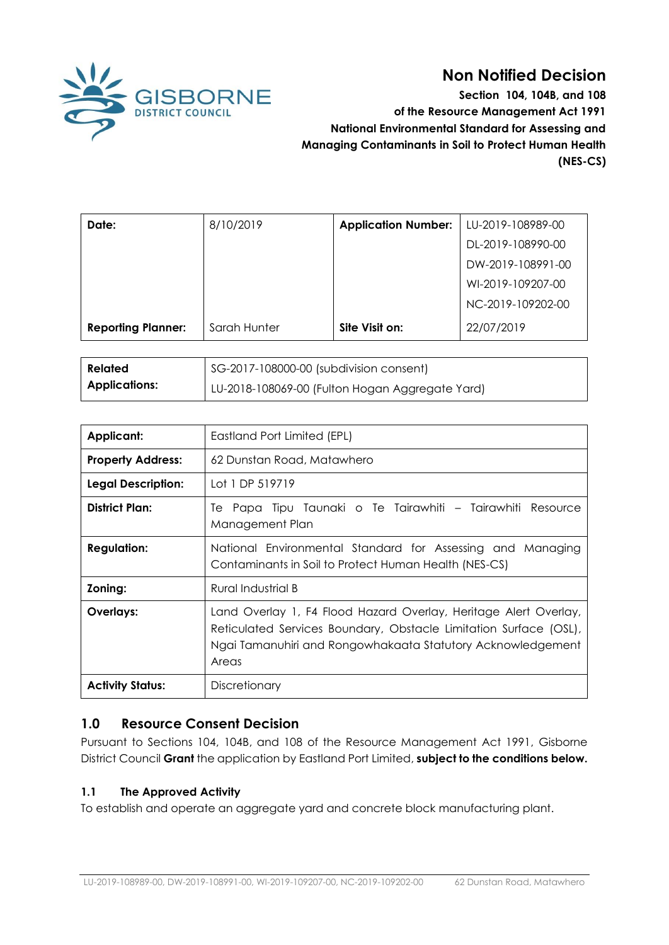

**62 Mon Notified Decision**<br>BISBORNE Section 104, 104B, and 108<br>of the Resource Management Act 1991 **Section 104, 104B, and 108 of the Resource Management Act 1991 National Environmental Standard for Assessing and Managing Contaminants in Soil to Protect Human Health (NES-CS)** 

| Date:                     | 8/10/2019    | <b>Application Number:</b> | LU-2019-108989-00 |
|---------------------------|--------------|----------------------------|-------------------|
|                           |              |                            | DL-2019-108990-00 |
|                           |              |                            | DW-2019-108991-00 |
|                           |              |                            | WI-2019-109207-00 |
|                           |              |                            | NC-2019-109202-00 |
| <b>Reporting Planner:</b> | Sarah Hunter | Site Visit on:             | 22/07/2019        |
|                           |              |                            |                   |

| <b>Related</b>       | SG-2017-108000-00 (subdivision consent)         |  |
|----------------------|-------------------------------------------------|--|
| <b>Applications:</b> | LU-2018-108069-00 (Fulton Hogan Aggregate Yard) |  |

| <b>Applicant:</b>         | Eastland Port Limited (EPL)                                                                                                                                                                                   |  |
|---------------------------|---------------------------------------------------------------------------------------------------------------------------------------------------------------------------------------------------------------|--|
| <b>Property Address:</b>  | 62 Dunstan Road, Matawhero                                                                                                                                                                                    |  |
| <b>Legal Description:</b> | Lot 1 DP 519719                                                                                                                                                                                               |  |
| <b>District Plan:</b>     | Te Papa Tipu Taunaki o Te Tairawhiti – Tairawhiti Resource<br>Management Plan                                                                                                                                 |  |
| <b>Regulation:</b>        | National Environmental Standard for Assessing and Managing<br>Contaminants in Soil to Protect Human Health (NES-CS)                                                                                           |  |
| Zoning:                   | Rural Industrial B                                                                                                                                                                                            |  |
| Overlays:                 | Land Overlay 1, F4 Flood Hazard Overlay, Heritage Alert Overlay,<br>Reticulated Services Boundary, Obstacle Limitation Surface (OSL),<br>Ngai Tamanuhiri and Rongowhakaata Statutory Acknowledgement<br>Areas |  |
| <b>Activity Status:</b>   | Discretionary                                                                                                                                                                                                 |  |

# **1.0 Resource Consent Decision**

Pursuant to Sections 104, 104B, and 108 of the Resource Management Act 1991, Gisborne District Council **Grant** the application by Eastland Port Limited, **subject to the conditions below.** 

# **1.1 The Approved Activity**

To establish and operate an aggregate yard and concrete block manufacturing plant.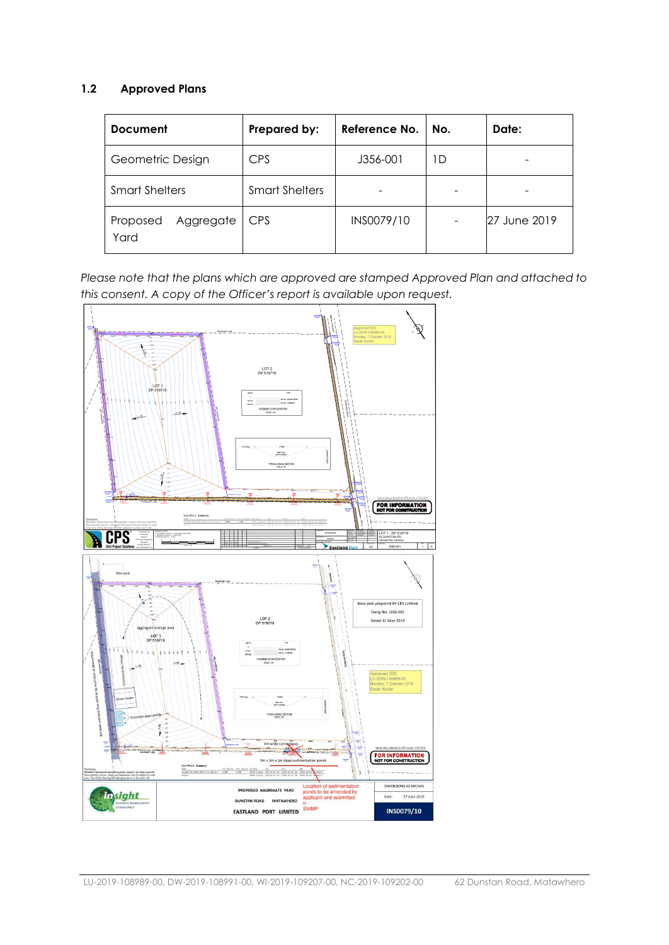## **1.2 Approved Plans**

| <b>Document</b>               | Prepared by:          | Reference No. | No. | Date:        |
|-------------------------------|-----------------------|---------------|-----|--------------|
| Geometric Design              | <b>CPS</b>            | J356-001      | D   |              |
| <b>Smart Shelters</b>         | <b>Smart Shelters</b> |               |     |              |
| Aggregate<br>Proposed<br>Yard | <b>CPS</b>            | INS0079/10    |     | 27 June 2019 |

*Please note that the plans which are approved are stamped Approved Plan and attached to this consent. A copy of the Officer's report is available upon request.*

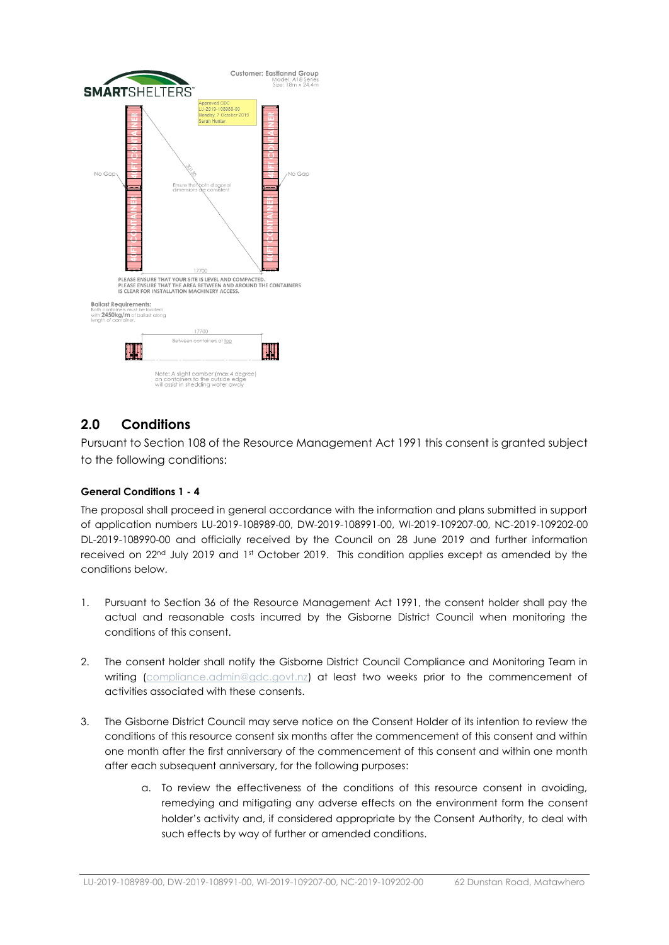

# **2.0 Conditions**

Pursuant to Section 108 of the Resource Management Act 1991 this consent is granted subject to the following conditions:

#### **General Conditions 1 - 4**

The proposal shall proceed in general accordance with the information and plans submitted in support of application numbers LU-2019-108989-00, DW-2019-108991-00, WI-2019-109207-00, NC-2019-109202-00 DL-2019-108990-00 and officially received by the Council on 28 June 2019 and further information received on 22<sup>nd</sup> July 2019 and 1<sup>st</sup> October 2019. This condition applies except as amended by the conditions below.

- 1. Pursuant to Section 36 of the Resource Management Act 1991, the consent holder shall pay the actual and reasonable costs incurred by the Gisborne District Council when monitoring the conditions of this consent.
- 2. The consent holder shall notify the Gisborne District Council Compliance and Monitoring Team in writing [\(compliance.admin@gdc.govt.nz\)](mailto:compliance.admin@gdc.govt.nz) at least two weeks prior to the commencement of activities associated with these consents.
- 3. The Gisborne District Council may serve notice on the Consent Holder of its intention to review the conditions of this resource consent six months after the commencement of this consent and within one month after the first anniversary of the commencement of this consent and within one month after each subsequent anniversary, for the following purposes:
	- a. To review the effectiveness of the conditions of this resource consent in avoiding, remedying and mitigating any adverse effects on the environment form the consent holder's activity and, if considered appropriate by the Consent Authority, to deal with such effects by way of further or amended conditions.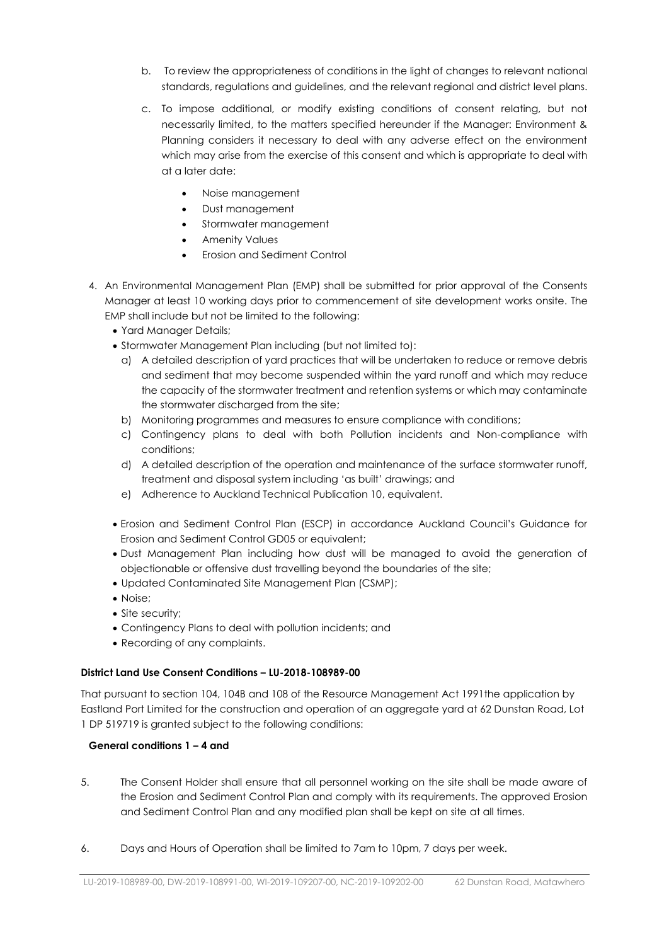- b. To review the appropriateness of conditions in the light of changes to relevant national standards, regulations and guidelines, and the relevant regional and district level plans.
- c. To impose additional, or modify existing conditions of consent relating, but not necessarily limited, to the matters specified hereunder if the Manager: Environment & Planning considers it necessary to deal with any adverse effect on the environment which may arise from the exercise of this consent and which is appropriate to deal with at a later date:
	- Noise management
	- Dust management
	- Stormwater management
	- Amenity Values
	- Erosion and Sediment Control
- 4. An Environmental Management Plan (EMP) shall be submitted for prior approval of the Consents Manager at least 10 working days prior to commencement of site development works onsite. The EMP shall include but not be limited to the following:
	- Yard Manager Details;
	- Stormwater Management Plan including (but not limited to):
		- a) A detailed description of yard practices that will be undertaken to reduce or remove debris and sediment that may become suspended within the yard runoff and which may reduce the capacity of the stormwater treatment and retention systems or which may contaminate the stormwater discharged from the site;
		- b) Monitoring programmes and measures to ensure compliance with conditions;
		- c) Contingency plans to deal with both Pollution incidents and Non-compliance with conditions;
		- d) A detailed description of the operation and maintenance of the surface stormwater runoff, treatment and disposal system including 'as built' drawings; and
		- e) Adherence to Auckland Technical Publication 10, equivalent.
	- Erosion and Sediment Control Plan (ESCP) in accordance Auckland Council's Guidance for Erosion and Sediment Control GD05 or equivalent;
	- Dust Management Plan including how dust will be managed to avoid the generation of objectionable or offensive dust travelling beyond the boundaries of the site;
	- Updated Contaminated Site Management Plan (CSMP);
	- Noise:
	- Site security;
	- Contingency Plans to deal with pollution incidents; and
	- Recording of any complaints.

#### **District Land Use Consent Conditions – LU-2018-108989-00**

That pursuant to section 104, 104B and 108 of the Resource Management Act 1991the application by Eastland Port Limited for the construction and operation of an aggregate yard at 62 Dunstan Road, Lot 1 DP 519719 is granted subject to the following conditions:

## **General conditions 1 – 4 and**

- 5. The Consent Holder shall ensure that all personnel working on the site shall be made aware of the Erosion and Sediment Control Plan and comply with its requirements. The approved Erosion and Sediment Control Plan and any modified plan shall be kept on site at all times.
- 6. Days and Hours of Operation shall be limited to 7am to 10pm, 7 days per week.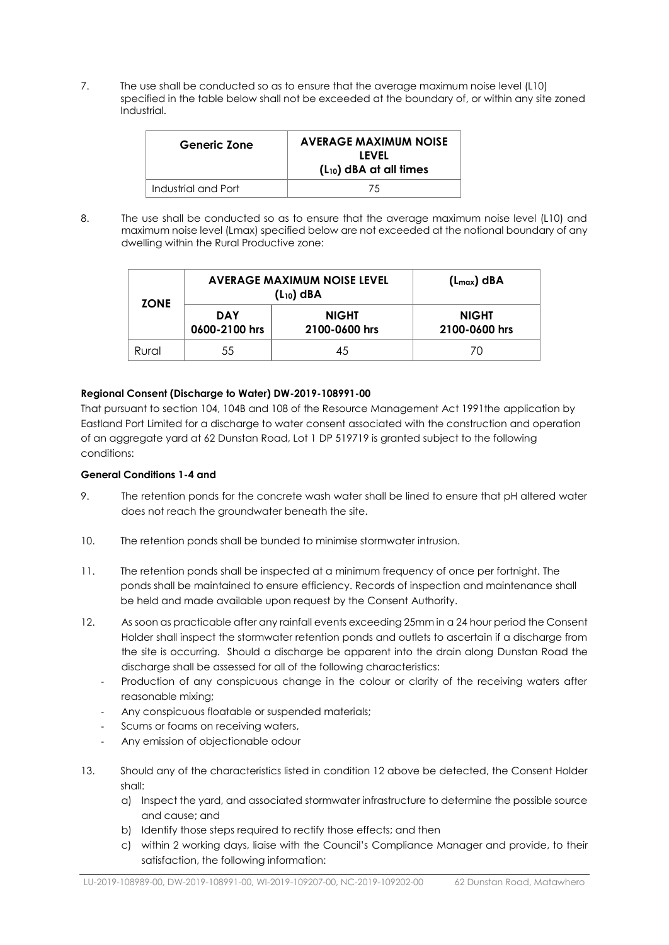7. The use shall be conducted so as to ensure that the average maximum noise level (L10) specified in the table below shall not be exceeded at the boundary of, or within any site zoned Industrial.

| <b>Generic Zone</b> | <b>AVERAGE MAXIMUM NOISE</b><br><b>LEVEL</b><br>$(L_{10})$ dBA at all times |  |
|---------------------|-----------------------------------------------------------------------------|--|
| Industrial and Port | 75                                                                          |  |

8. The use shall be conducted so as to ensure that the average maximum noise level (L10) and maximum noise level (Lmax) specified below are not exceeded at the notional boundary of any dwelling within the Rural Productive zone:

| <b>ZONE</b> | <b>AVERAGE MAXIMUM NOISE LEVEL</b><br>$(L_{10})$ dBA |                               | $(L_{max})$ dBA               |
|-------------|------------------------------------------------------|-------------------------------|-------------------------------|
|             | <b>DAY</b><br>0600-2100 hrs                          | <b>NIGHT</b><br>2100-0600 hrs | <b>NIGHT</b><br>2100-0600 hrs |
| Rural       | 55                                                   | 45                            | 70                            |

## **Regional Consent (Discharge to Water) DW-2019-108991-00**

That pursuant to section 104, 104B and 108 of the Resource Management Act 1991the application by Eastland Port Limited for a discharge to water consent associated with the construction and operation of an aggregate yard at 62 Dunstan Road, Lot 1 DP 519719 is granted subject to the following conditions:

#### **General Conditions 1-4 and**

- 9. The retention ponds for the concrete wash water shall be lined to ensure that pH altered water does not reach the groundwater beneath the site.
- 10. The retention ponds shall be bunded to minimise stormwater intrusion.
- 11. The retention ponds shall be inspected at a minimum frequency of once per fortnight. The ponds shall be maintained to ensure efficiency. Records of inspection and maintenance shall be held and made available upon request by the Consent Authority.
- 12. As soon as practicable after any rainfall events exceeding 25mm in a 24 hour period the Consent Holder shall inspect the stormwater retention ponds and outlets to ascertain if a discharge from the site is occurring. Should a discharge be apparent into the drain along Dunstan Road the discharge shall be assessed for all of the following characteristics:
	- Production of any conspicuous change in the colour or clarity of the receiving waters after reasonable mixing;
	- Any conspicuous floatable or suspended materials;
	- Scums or foams on receiving waters,
	- Any emission of objectionable odour
- 13. Should any of the characteristics listed in condition 12 above be detected, the Consent Holder shall:
	- a) Inspect the yard, and associated stormwater infrastructure to determine the possible source and cause; and
	- b) Identify those steps required to rectify those effects; and then
	- c) within 2 working days, liaise with the Council's Compliance Manager and provide, to their satisfaction, the following information: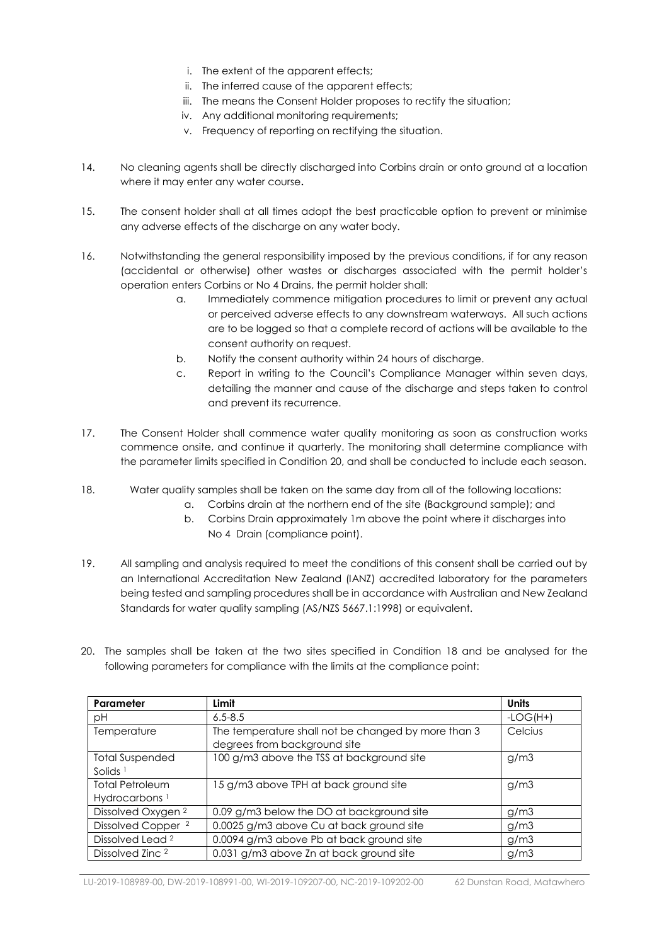- i. The extent of the apparent effects;
- ii. The inferred cause of the apparent effects;
- iii. The means the Consent Holder proposes to rectify the situation;
- iv. Any additional monitoring requirements;
- v. Frequency of reporting on rectifying the situation.
- 14. No cleaning agents shall be directly discharged into Corbins drain or onto ground at a location where it may enter any water course**.**
- 15. The consent holder shall at all times adopt the best practicable option to prevent or minimise any adverse effects of the discharge on any water body.
- 16. Notwithstanding the general responsibility imposed by the previous conditions, if for any reason (accidental or otherwise) other wastes or discharges associated with the permit holder's operation enters Corbins or No 4 Drains, the permit holder shall:
	- a. Immediately commence mitigation procedures to limit or prevent any actual or perceived adverse effects to any downstream waterways. All such actions are to be logged so that a complete record of actions will be available to the consent authority on request.
	- b. Notify the consent authority within 24 hours of discharge.
	- c. Report in writing to the Council's Compliance Manager within seven days, detailing the manner and cause of the discharge and steps taken to control and prevent its recurrence.
- 17. The Consent Holder shall commence water quality monitoring as soon as construction works commence onsite, and continue it quarterly. The monitoring shall determine compliance with the parameter limits specified in Condition 20, and shall be conducted to include each season.
- 18. Water quality samples shall be taken on the same day from all of the following locations:
	- a. Corbins drain at the northern end of the site (Background sample); and
	- b. Corbins Drain approximately 1m above the point where it discharges into No 4 Drain (compliance point).
- 19. All sampling and analysis required to meet the conditions of this consent shall be carried out by an International Accreditation New Zealand (IANZ) accredited laboratory for the parameters being tested and sampling procedures shall be in accordance with Australian and New Zealand Standards for water quality sampling (AS/NZS 5667.1:1998) or equivalent.
- 20. The samples shall be taken at the two sites specified in Condition 18 and be analysed for the following parameters for compliance with the limits at the compliance point:

| Parameter                        | Limit                                               | Units      |
|----------------------------------|-----------------------------------------------------|------------|
| рH                               | $6.5 - 8.5$                                         | $-LOG(H+)$ |
| Temperature                      | The temperature shall not be changed by more than 3 | Celcius    |
|                                  | degrees from background site                        |            |
| <b>Total Suspended</b>           | 100 g/m3 above the TSS at background site           | g/m3       |
| Solids <sup><math>1</math></sup> |                                                     |            |
| <b>Total Petroleum</b>           | 15 g/m3 above TPH at back ground site               | q/m3       |
| Hydrocarbons <sup>1</sup>        |                                                     |            |
| Dissolved Oxygen <sup>2</sup>    | 0.09 g/m3 below the DO at background site           | g/m3       |
| Dissolved Copper <sup>2</sup>    | 0.0025 g/m3 above Cu at back ground site            | q/m3       |
| Dissolved Lead <sup>2</sup>      | 0.0094 g/m3 above Pb at back ground site            | g/m3       |
| Dissolved Zinc <sup>2</sup>      | 0.031 g/m3 above Zn at back ground site             | g/m3       |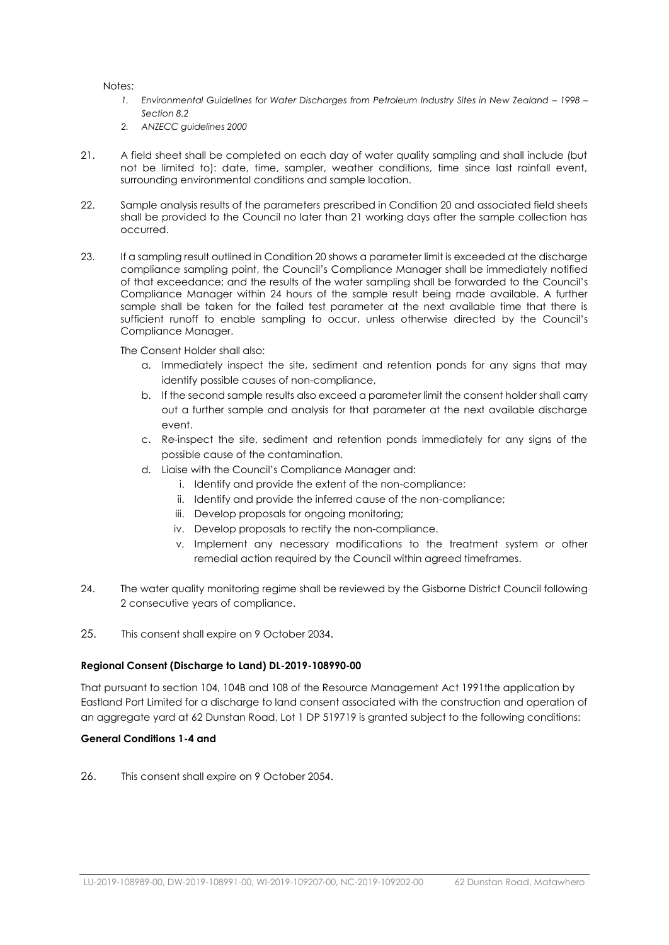Notes:

- *1. Environmental Guidelines for Water Discharges from Petroleum Industry Sites in New Zealand 1998 Section 8.2*
- *2. ANZECC guidelines 2000*
- 21. A field sheet shall be completed on each day of water quality sampling and shall include (but not be limited to): date, time, sampler, weather conditions, time since last rainfall event, surrounding environmental conditions and sample location.
- 22. Sample analysis results of the parameters prescribed in Condition 20 and associated field sheets shall be provided to the Council no later than 21 working days after the sample collection has occurred.
- 23. If a sampling result outlined in Condition 20 shows a parameter limit is exceeded at the discharge compliance sampling point, the Council's Compliance Manager shall be immediately notified of that exceedance; and the results of the water sampling shall be forwarded to the Council's Compliance Manager within 24 hours of the sample result being made available. A further sample shall be taken for the failed test parameter at the next available time that there is sufficient runoff to enable sampling to occur, unless otherwise directed by the Council's Compliance Manager.

The Consent Holder shall also:

- a. Immediately inspect the site, sediment and retention ponds for any signs that may identify possible causes of non-compliance,
- b. If the second sample results also exceed a parameter limit the consent holder shall carry out a further sample and analysis for that parameter at the next available discharge event.
- c. Re-inspect the site, sediment and retention ponds immediately for any signs of the possible cause of the contamination.
- d. Liaise with the Council's Compliance Manager and:
	- i. Identify and provide the extent of the non-compliance;
	- ii. Identify and provide the inferred cause of the non-compliance;
	- iii. Develop proposals for ongoing monitoring;
	- iv. Develop proposals to rectify the non-compliance.
	- v. Implement any necessary modifications to the treatment system or other remedial action required by the Council within agreed timeframes.
- 24. The water quality monitoring regime shall be reviewed by the Gisborne District Council following 2 consecutive years of compliance.
- 25. This consent shall expire on 9 October 2034.

#### **Regional Consent (Discharge to Land) DL-2019-108990-00**

That pursuant to section 104, 104B and 108 of the Resource Management Act 1991the application by Eastland Port Limited for a discharge to land consent associated with the construction and operation of an aggregate yard at 62 Dunstan Road, Lot 1 DP 519719 is granted subject to the following conditions:

#### **General Conditions 1-4 and**

26. This consent shall expire on 9 October 2054.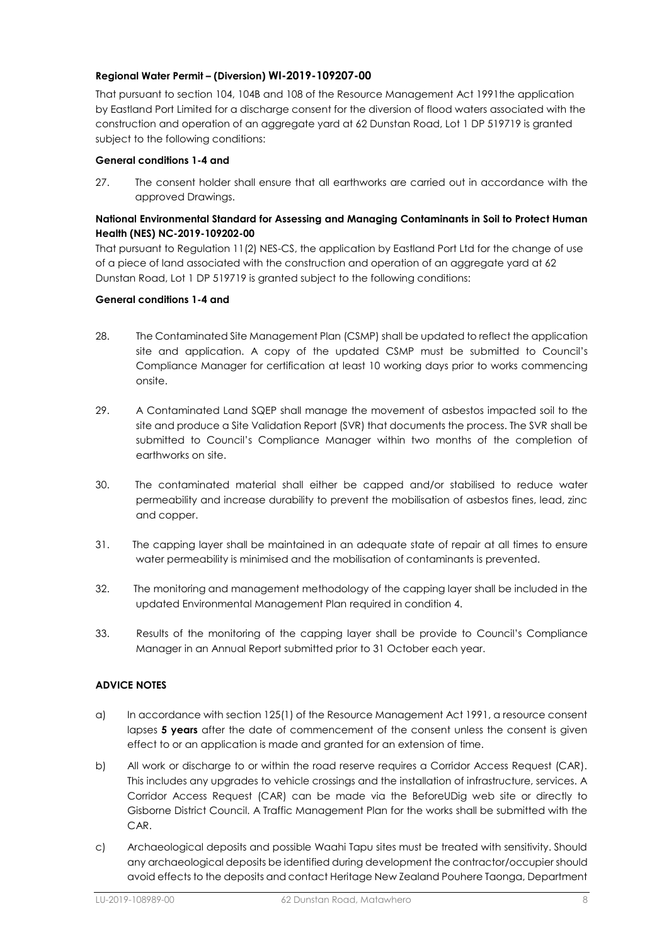#### **Regional Water Permit – (Diversion) WI-2019-109207-00**

That pursuant to section 104, 104B and 108 of the Resource Management Act 1991the application by Eastland Port Limited for a discharge consent for the diversion of flood waters associated with the construction and operation of an aggregate yard at 62 Dunstan Road, Lot 1 DP 519719 is granted subject to the following conditions:

#### **General conditions 1-4 and**

27. The consent holder shall ensure that all earthworks are carried out in accordance with the approved Drawings.

#### **National Environmental Standard for Assessing and Managing Contaminants in Soil to Protect Human Health (NES) NC-2019-109202-00**

That pursuant to Regulation 11(2) NES-CS, the application by Eastland Port Ltd for the change of use of a piece of land associated with the construction and operation of an aggregate yard at 62 Dunstan Road, Lot 1 DP 519719 is granted subject to the following conditions:

#### **General conditions 1-4 and**

- 28. The Contaminated Site Management Plan (CSMP) shall be updated to reflect the application site and application. A copy of the updated CSMP must be submitted to Council's Compliance Manager for certification at least 10 working days prior to works commencing onsite.
- 29. A Contaminated Land SQEP shall manage the movement of asbestos impacted soil to the site and produce a Site Validation Report (SVR) that documents the process. The SVR shall be submitted to Council's Compliance Manager within two months of the completion of earthworks on site.
- 30. The contaminated material shall either be capped and/or stabilised to reduce water permeability and increase durability to prevent the mobilisation of asbestos fines, lead, zinc and copper.
- 31. The capping layer shall be maintained in an adequate state of repair at all times to ensure water permeability is minimised and the mobilisation of contaminants is prevented.
- 32. The monitoring and management methodology of the capping layer shall be included in the updated Environmental Management Plan required in condition 4.
- 33. Results of the monitoring of the capping layer shall be provide to Council's Compliance Manager in an Annual Report submitted prior to 31 October each year.

#### **ADVICE NOTES**

- a) In accordance with section 125(1) of the Resource Management Act 1991, a resource consent lapses **5 years** after the date of commencement of the consent unless the consent is given effect to or an application is made and granted for an extension of time.
- b) All work or discharge to or within the road reserve requires a Corridor Access Request (CAR). This includes any upgrades to vehicle crossings and the installation of infrastructure, services. A Corridor Access Request (CAR) can be made via the BeforeUDig web site or directly to Gisborne District Council. A Traffic Management Plan for the works shall be submitted with the CAR.
- c) Archaeological deposits and possible Waahi Tapu sites must be treated with sensitivity. Should any archaeological deposits be identified during development the contractor/occupier should avoid effects to the deposits and contact Heritage New Zealand Pouhere Taonga, Department